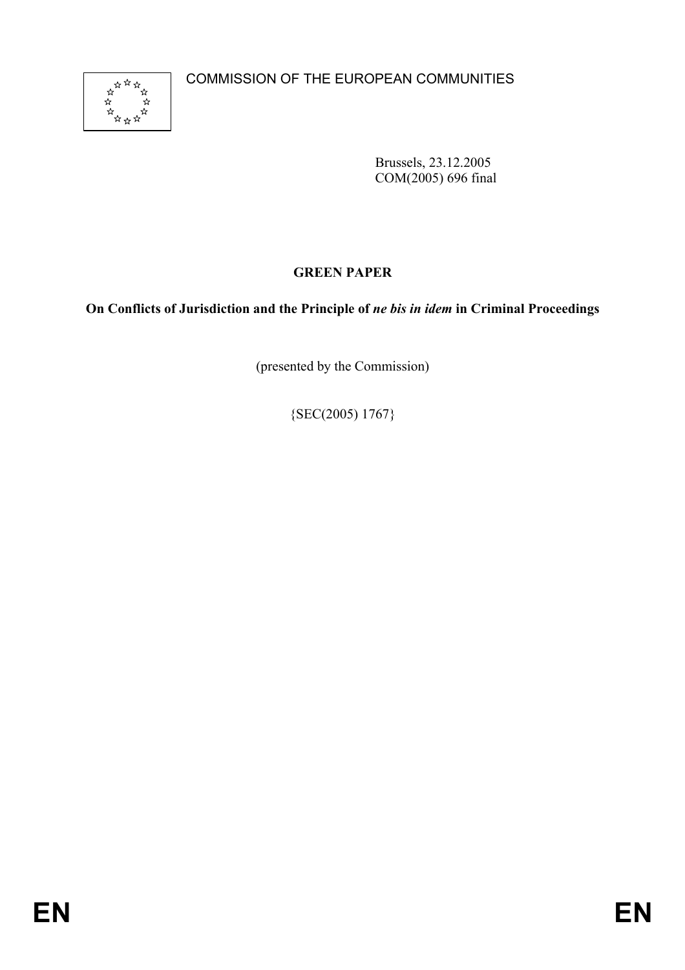

Brussels, 23.12.2005 COM(2005) 696 final

# **GREEN PAPER**

# **On Conflicts of Jurisdiction and the Principle of** *ne bis in idem* **in Criminal Proceedings**

(presented by the Commission)

 ${SEC(2005) 1767}$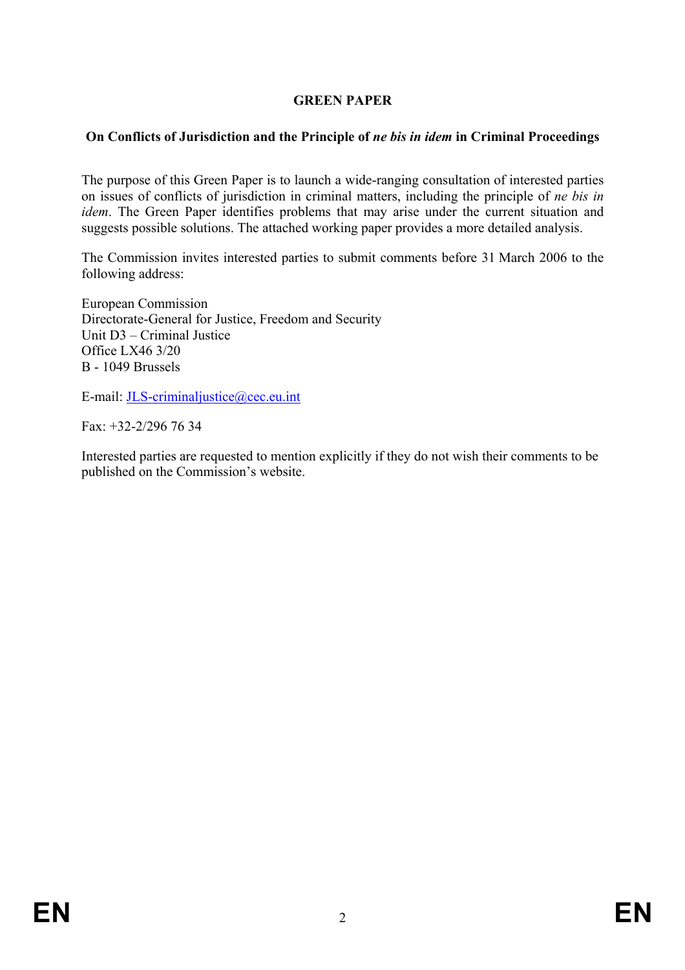# **GREEN PAPER**

### **On Conflicts of Jurisdiction and the Principle of** *ne bis in idem* **in Criminal Proceedings**

The purpose of this Green Paper is to launch a wide-ranging consultation of interested parties on issues of conflicts of jurisdiction in criminal matters, including the principle of *ne bis in idem*. The Green Paper identifies problems that may arise under the current situation and suggests possible solutions. The attached working paper provides a more detailed analysis.

The Commission invites interested parties to submit comments before 31 March 2006 to the following address:

European Commission Directorate-General for Justice, Freedom and Security Unit D3 – Criminal Justice Office LX46 3/20 B - 1049 Brussels

E-mail: JLS-criminaljustice@cec.eu.int

Fax: +32-2/296 76 34

Interested parties are requested to mention explicitly if they do not wish their comments to be published on the Commission's website.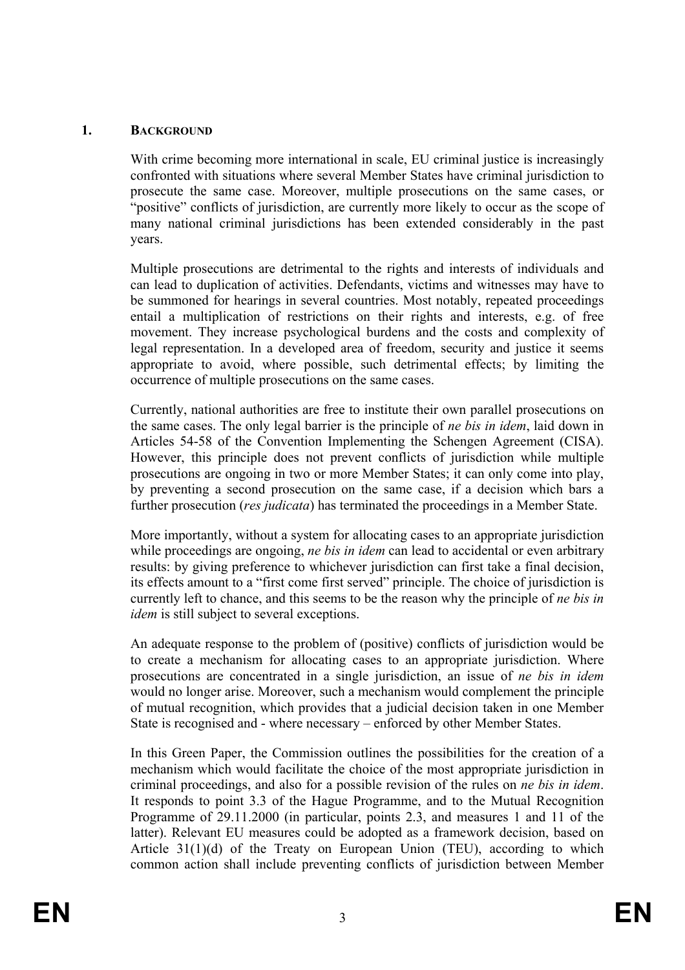#### **1. BACKGROUND**

With crime becoming more international in scale, EU criminal justice is increasingly confronted with situations where several Member States have criminal jurisdiction to prosecute the same case. Moreover, multiple prosecutions on the same cases, or "positive" conflicts of jurisdiction, are currently more likely to occur as the scope of many national criminal jurisdictions has been extended considerably in the past years.

Multiple prosecutions are detrimental to the rights and interests of individuals and can lead to duplication of activities. Defendants, victims and witnesses may have to be summoned for hearings in several countries. Most notably, repeated proceedings entail a multiplication of restrictions on their rights and interests, e.g. of free movement. They increase psychological burdens and the costs and complexity of legal representation. In a developed area of freedom, security and justice it seems appropriate to avoid, where possible, such detrimental effects; by limiting the occurrence of multiple prosecutions on the same cases.

Currently, national authorities are free to institute their own parallel prosecutions on the same cases. The only legal barrier is the principle of *ne bis in idem*, laid down in Articles 54-58 of the Convention Implementing the Schengen Agreement (CISA). However, this principle does not prevent conflicts of jurisdiction while multiple prosecutions are ongoing in two or more Member States; it can only come into play, by preventing a second prosecution on the same case, if a decision which bars a further prosecution (*res judicata*) has terminated the proceedings in a Member State.

More importantly, without a system for allocating cases to an appropriate jurisdiction while proceedings are ongoing, *ne bis in idem* can lead to accidental or even arbitrary results: by giving preference to whichever jurisdiction can first take a final decision, its effects amount to a "first come first served" principle. The choice of jurisdiction is currently left to chance, and this seems to be the reason why the principle of *ne bis in idem* is still subject to several exceptions.

An adequate response to the problem of (positive) conflicts of jurisdiction would be to create a mechanism for allocating cases to an appropriate jurisdiction. Where prosecutions are concentrated in a single jurisdiction, an issue of *ne bis in idem* would no longer arise. Moreover, such a mechanism would complement the principle of mutual recognition, which provides that a judicial decision taken in one Member State is recognised and - where necessary – enforced by other Member States.

In this Green Paper, the Commission outlines the possibilities for the creation of a mechanism which would facilitate the choice of the most appropriate jurisdiction in criminal proceedings, and also for a possible revision of the rules on *ne bis in idem*. It responds to point 3.3 of the Hague Programme, and to the Mutual Recognition Programme of 29.11.2000 (in particular, points 2.3, and measures 1 and 11 of the latter). Relevant EU measures could be adopted as a framework decision, based on Article 31(1)(d) of the Treaty on European Union (TEU), according to which common action shall include preventing conflicts of jurisdiction between Member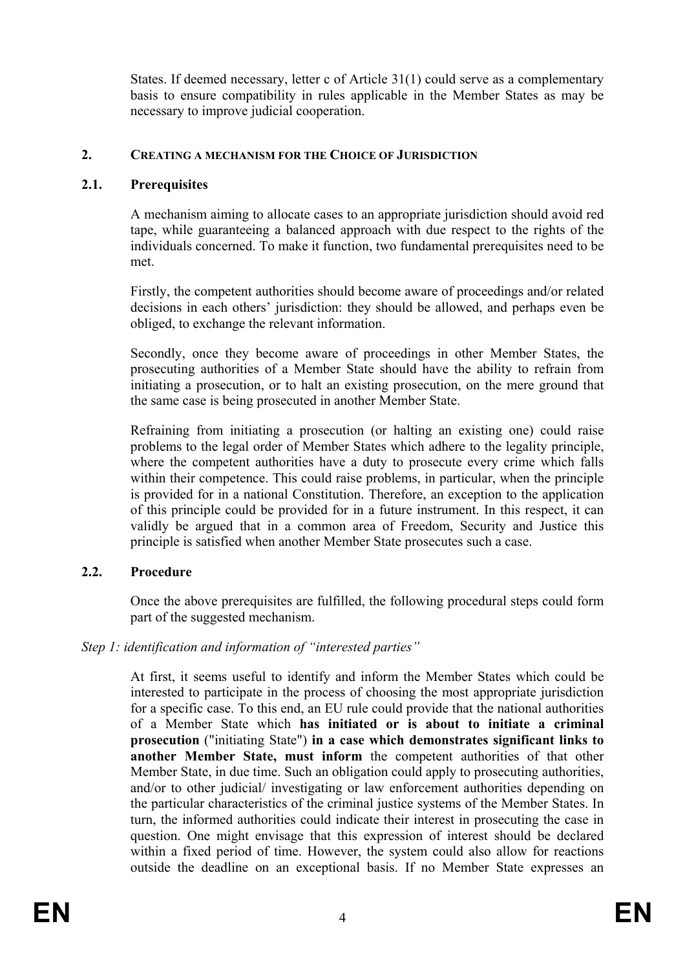States. If deemed necessary, letter c of Article 31(1) could serve as a complementary basis to ensure compatibility in rules applicable in the Member States as may be necessary to improve judicial cooperation.

### **2. CREATING A MECHANISM FOR THE CHOICE OF JURISDICTION**

### **2.1. Prerequisites**

A mechanism aiming to allocate cases to an appropriate jurisdiction should avoid red tape, while guaranteeing a balanced approach with due respect to the rights of the individuals concerned. To make it function, two fundamental prerequisites need to be met.

Firstly, the competent authorities should become aware of proceedings and/or related decisions in each others' jurisdiction: they should be allowed, and perhaps even be obliged, to exchange the relevant information.

Secondly, once they become aware of proceedings in other Member States, the prosecuting authorities of a Member State should have the ability to refrain from initiating a prosecution, or to halt an existing prosecution, on the mere ground that the same case is being prosecuted in another Member State.

Refraining from initiating a prosecution (or halting an existing one) could raise problems to the legal order of Member States which adhere to the legality principle, where the competent authorities have a duty to prosecute every crime which falls within their competence. This could raise problems, in particular, when the principle is provided for in a national Constitution. Therefore, an exception to the application of this principle could be provided for in a future instrument. In this respect, it can validly be argued that in a common area of Freedom, Security and Justice this principle is satisfied when another Member State prosecutes such a case.

### **2.2. Procedure**

Once the above prerequisites are fulfilled, the following procedural steps could form part of the suggested mechanism.

### *Step 1: identification and information of "interested parties"*

At first, it seems useful to identify and inform the Member States which could be interested to participate in the process of choosing the most appropriate jurisdiction for a specific case. To this end, an EU rule could provide that the national authorities of a Member State which **has initiated or is about to initiate a criminal prosecution** ("initiating State") **in a case which demonstrates significant links to another Member State, must inform** the competent authorities of that other Member State, in due time. Such an obligation could apply to prosecuting authorities, and/or to other judicial/ investigating or law enforcement authorities depending on the particular characteristics of the criminal justice systems of the Member States. In turn, the informed authorities could indicate their interest in prosecuting the case in question. One might envisage that this expression of interest should be declared within a fixed period of time. However, the system could also allow for reactions outside the deadline on an exceptional basis. If no Member State expresses an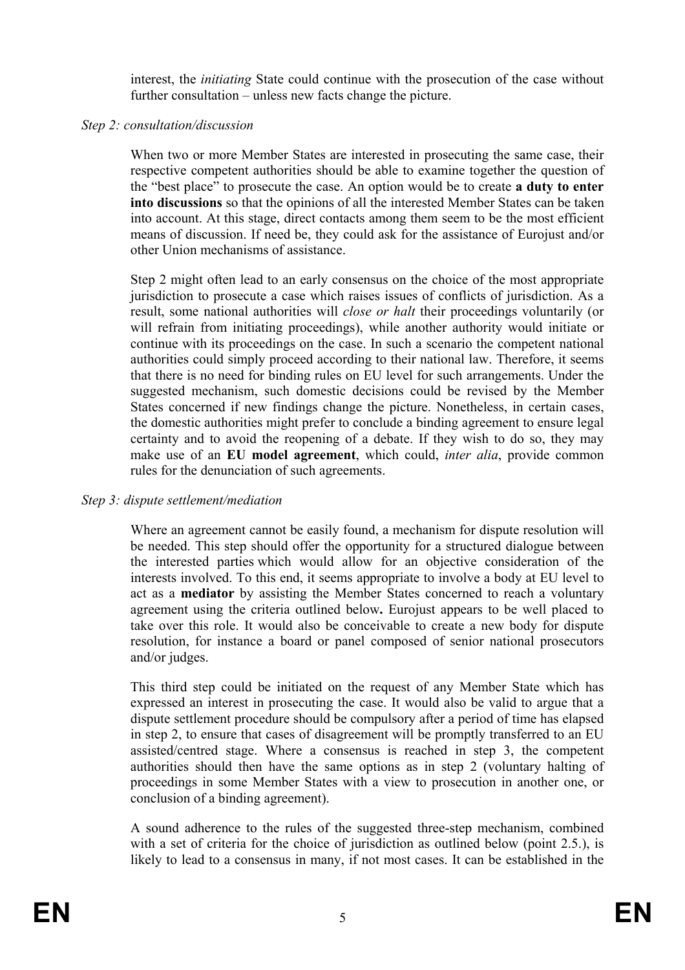interest, the *initiating* State could continue with the prosecution of the case without further consultation – unless new facts change the picture.

#### *Step 2: consultation/discussion*

When two or more Member States are interested in prosecuting the same case, their respective competent authorities should be able to examine together the question of the "best place" to prosecute the case. An option would be to create **a duty to enter into discussions** so that the opinions of all the interested Member States can be taken into account. At this stage, direct contacts among them seem to be the most efficient means of discussion. If need be, they could ask for the assistance of Eurojust and/or other Union mechanisms of assistance.

Step 2 might often lead to an early consensus on the choice of the most appropriate jurisdiction to prosecute a case which raises issues of conflicts of jurisdiction. As a result, some national authorities will *close or halt* their proceedings voluntarily (or will refrain from initiating proceedings), while another authority would initiate or continue with its proceedings on the case. In such a scenario the competent national authorities could simply proceed according to their national law. Therefore, it seems that there is no need for binding rules on EU level for such arrangements. Under the suggested mechanism, such domestic decisions could be revised by the Member States concerned if new findings change the picture. Nonetheless, in certain cases, the domestic authorities might prefer to conclude a binding agreement to ensure legal certainty and to avoid the reopening of a debate. If they wish to do so, they may make use of an **EU model agreement**, which could, *inter alia*, provide common rules for the denunciation of such agreements.

#### *Step 3: dispute settlement/mediation*

Where an agreement cannot be easily found, a mechanism for dispute resolution will be needed. This step should offer the opportunity for a structured dialogue between the interested parties which would allow for an objective consideration of the interests involved. To this end, it seems appropriate to involve a body at EU level to act as a **mediator** by assisting the Member States concerned to reach a voluntary agreement using the criteria outlined below**.** Eurojust appears to be well placed to take over this role. It would also be conceivable to create a new body for dispute resolution, for instance a board or panel composed of senior national prosecutors and/or judges.

This third step could be initiated on the request of any Member State which has expressed an interest in prosecuting the case. It would also be valid to argue that a dispute settlement procedure should be compulsory after a period of time has elapsed in step 2, to ensure that cases of disagreement will be promptly transferred to an EU assisted/centred stage. Where a consensus is reached in step 3, the competent authorities should then have the same options as in step 2 (voluntary halting of proceedings in some Member States with a view to prosecution in another one, or conclusion of a binding agreement).

A sound adherence to the rules of the suggested three-step mechanism, combined with a set of criteria for the choice of jurisdiction as outlined below (point 2.5.), is likely to lead to a consensus in many, if not most cases. It can be established in the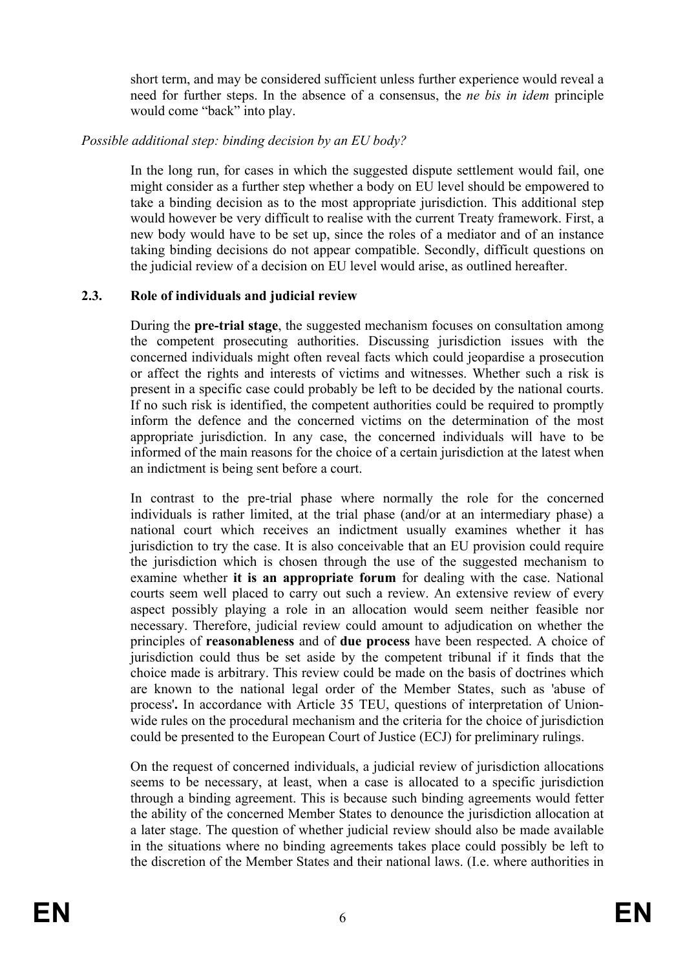short term, and may be considered sufficient unless further experience would reveal a need for further steps. In the absence of a consensus, the *ne bis in idem* principle would come "back" into play.

# *Possible additional step: binding decision by an EU body?*

In the long run, for cases in which the suggested dispute settlement would fail, one might consider as a further step whether a body on EU level should be empowered to take a binding decision as to the most appropriate jurisdiction. This additional step would however be very difficult to realise with the current Treaty framework. First, a new body would have to be set up, since the roles of a mediator and of an instance taking binding decisions do not appear compatible. Secondly, difficult questions on the judicial review of a decision on EU level would arise, as outlined hereafter.

# **2.3. Role of individuals and judicial review**

During the **pre-trial stage**, the suggested mechanism focuses on consultation among the competent prosecuting authorities. Discussing jurisdiction issues with the concerned individuals might often reveal facts which could jeopardise a prosecution or affect the rights and interests of victims and witnesses. Whether such a risk is present in a specific case could probably be left to be decided by the national courts. If no such risk is identified, the competent authorities could be required to promptly inform the defence and the concerned victims on the determination of the most appropriate jurisdiction. In any case, the concerned individuals will have to be informed of the main reasons for the choice of a certain jurisdiction at the latest when an indictment is being sent before a court.

In contrast to the pre-trial phase where normally the role for the concerned individuals is rather limited, at the trial phase (and/or at an intermediary phase) a national court which receives an indictment usually examines whether it has jurisdiction to try the case. It is also conceivable that an EU provision could require the jurisdiction which is chosen through the use of the suggested mechanism to examine whether **it is an appropriate forum** for dealing with the case. National courts seem well placed to carry out such a review. An extensive review of every aspect possibly playing a role in an allocation would seem neither feasible nor necessary. Therefore, judicial review could amount to adjudication on whether the principles of **reasonableness** and of **due process** have been respected. A choice of jurisdiction could thus be set aside by the competent tribunal if it finds that the choice made is arbitrary. This review could be made on the basis of doctrines which are known to the national legal order of the Member States, such as 'abuse of process'**.** In accordance with Article 35 TEU, questions of interpretation of Unionwide rules on the procedural mechanism and the criteria for the choice of jurisdiction could be presented to the European Court of Justice (ECJ) for preliminary rulings.

On the request of concerned individuals, a judicial review of jurisdiction allocations seems to be necessary, at least, when a case is allocated to a specific jurisdiction through a binding agreement. This is because such binding agreements would fetter the ability of the concerned Member States to denounce the jurisdiction allocation at a later stage. The question of whether judicial review should also be made available in the situations where no binding agreements takes place could possibly be left to the discretion of the Member States and their national laws. (I.e. where authorities in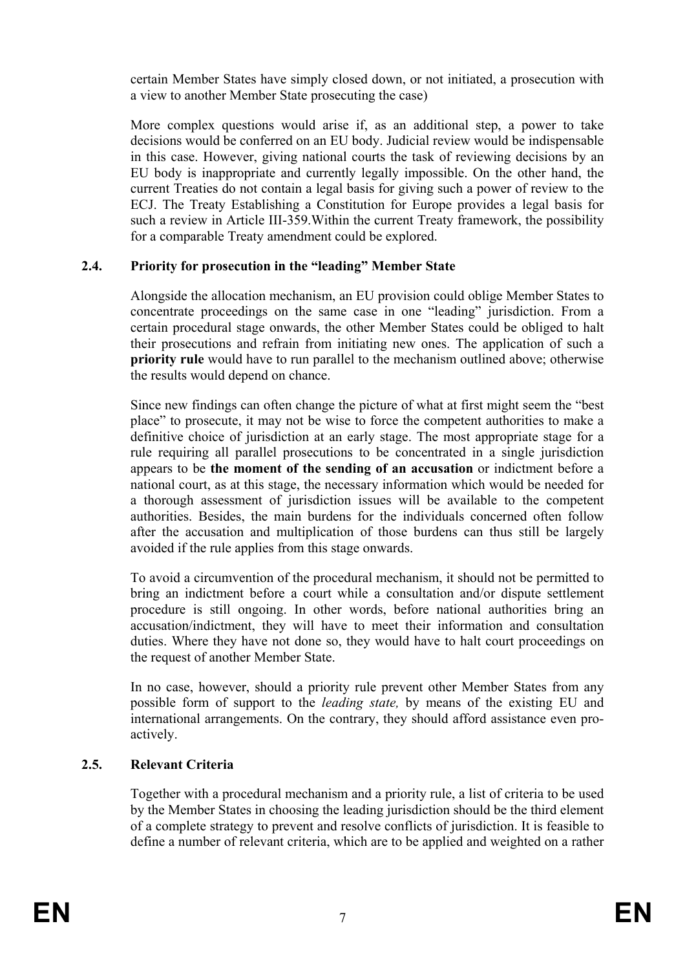certain Member States have simply closed down, or not initiated, a prosecution with a view to another Member State prosecuting the case)

More complex questions would arise if, as an additional step, a power to take decisions would be conferred on an EU body. Judicial review would be indispensable in this case. However, giving national courts the task of reviewing decisions by an EU body is inappropriate and currently legally impossible. On the other hand, the current Treaties do not contain a legal basis for giving such a power of review to the ECJ. The Treaty Establishing a Constitution for Europe provides a legal basis for such a review in Article III-359.Within the current Treaty framework, the possibility for a comparable Treaty amendment could be explored.

# **2.4. Priority for prosecution in the "leading" Member State**

Alongside the allocation mechanism, an EU provision could oblige Member States to concentrate proceedings on the same case in one "leading" jurisdiction. From a certain procedural stage onwards, the other Member States could be obliged to halt their prosecutions and refrain from initiating new ones. The application of such a **priority rule** would have to run parallel to the mechanism outlined above; otherwise the results would depend on chance.

Since new findings can often change the picture of what at first might seem the "best place" to prosecute, it may not be wise to force the competent authorities to make a definitive choice of jurisdiction at an early stage. The most appropriate stage for a rule requiring all parallel prosecutions to be concentrated in a single jurisdiction appears to be **the moment of the sending of an accusation** or indictment before a national court, as at this stage, the necessary information which would be needed for a thorough assessment of jurisdiction issues will be available to the competent authorities. Besides, the main burdens for the individuals concerned often follow after the accusation and multiplication of those burdens can thus still be largely avoided if the rule applies from this stage onwards.

To avoid a circumvention of the procedural mechanism, it should not be permitted to bring an indictment before a court while a consultation and/or dispute settlement procedure is still ongoing. In other words, before national authorities bring an accusation/indictment, they will have to meet their information and consultation duties. Where they have not done so, they would have to halt court proceedings on the request of another Member State.

In no case, however, should a priority rule prevent other Member States from any possible form of support to the *leading state,* by means of the existing EU and international arrangements. On the contrary, they should afford assistance even proactively.

# **2.5. Relevant Criteria**

Together with a procedural mechanism and a priority rule, a list of criteria to be used by the Member States in choosing the leading jurisdiction should be the third element of a complete strategy to prevent and resolve conflicts of jurisdiction. It is feasible to define a number of relevant criteria, which are to be applied and weighted on a rather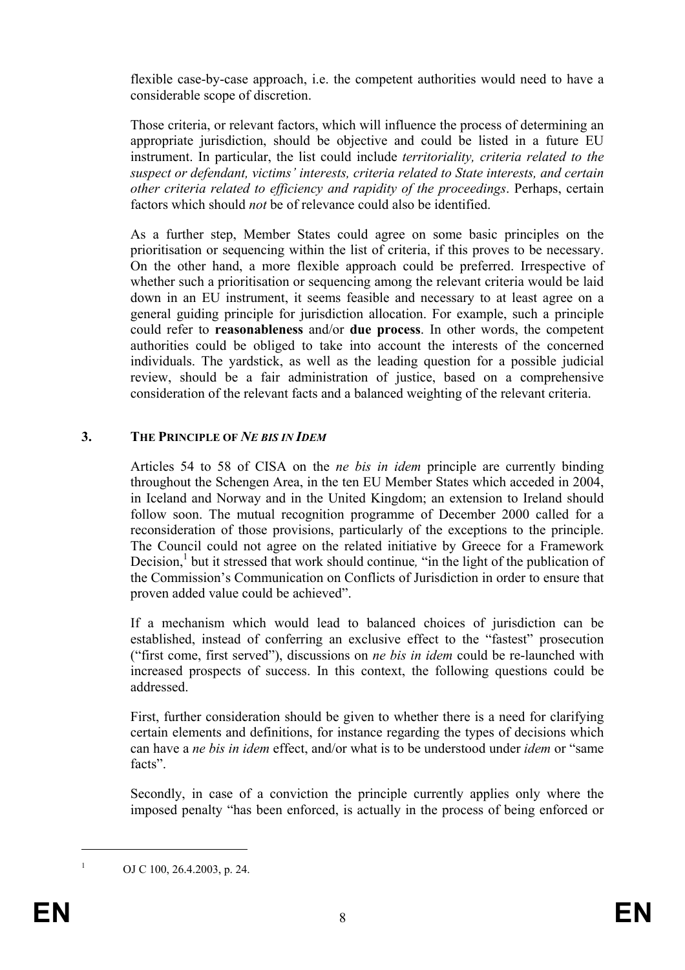flexible case-by-case approach, i.e. the competent authorities would need to have a considerable scope of discretion.

Those criteria, or relevant factors, which will influence the process of determining an appropriate jurisdiction, should be objective and could be listed in a future EU instrument. In particular, the list could include *territoriality, criteria related to the suspect or defendant, victims' interests, criteria related to State interests, and certain other criteria related to efficiency and rapidity of the proceedings*. Perhaps, certain factors which should *not* be of relevance could also be identified.

As a further step, Member States could agree on some basic principles on the prioritisation or sequencing within the list of criteria, if this proves to be necessary. On the other hand, a more flexible approach could be preferred. Irrespective of whether such a prioritisation or sequencing among the relevant criteria would be laid down in an EU instrument, it seems feasible and necessary to at least agree on a general guiding principle for jurisdiction allocation. For example, such a principle could refer to **reasonableness** and/or **due process**. In other words, the competent authorities could be obliged to take into account the interests of the concerned individuals. The yardstick, as well as the leading question for a possible judicial review, should be a fair administration of justice, based on a comprehensive consideration of the relevant facts and a balanced weighting of the relevant criteria.

### **3. THE PRINCIPLE OF** *NE BIS IN IDEM*

Articles 54 to 58 of CISA on the *ne bis in idem* principle are currently binding throughout the Schengen Area, in the ten EU Member States which acceded in 2004, in Iceland and Norway and in the United Kingdom; an extension to Ireland should follow soon. The mutual recognition programme of December 2000 called for a reconsideration of those provisions, particularly of the exceptions to the principle. The Council could not agree on the related initiative by Greece for a Framework Decision,<sup>1</sup> but it stressed that work should continue, "in the light of the publication of the Commission's Communication on Conflicts of Jurisdiction in order to ensure that proven added value could be achieved".

If a mechanism which would lead to balanced choices of jurisdiction can be established, instead of conferring an exclusive effect to the "fastest" prosecution ("first come, first served"), discussions on *ne bis in idem* could be re-launched with increased prospects of success. In this context, the following questions could be addressed.

First, further consideration should be given to whether there is a need for clarifying certain elements and definitions, for instance regarding the types of decisions which can have a *ne bis in idem* effect, and/or what is to be understood under *idem* or "same facts".

Secondly, in case of a conviction the principle currently applies only where the imposed penalty "has been enforced, is actually in the process of being enforced or

OJ C 100, 26.4.2003, p. 24.

1 1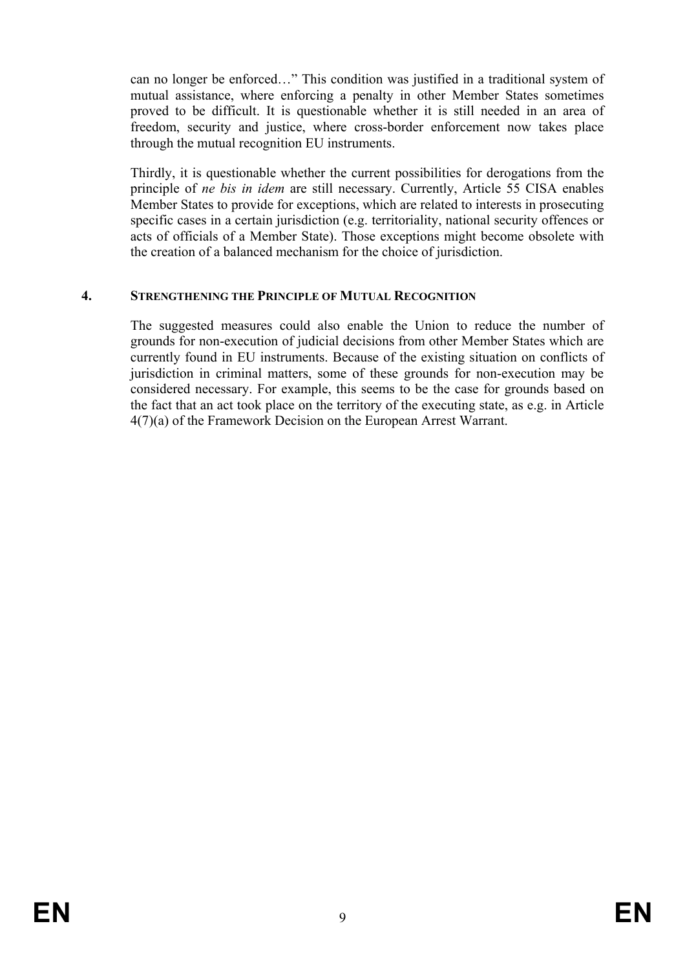can no longer be enforced…" This condition was justified in a traditional system of mutual assistance, where enforcing a penalty in other Member States sometimes proved to be difficult. It is questionable whether it is still needed in an area of freedom, security and justice, where cross-border enforcement now takes place through the mutual recognition EU instruments.

Thirdly, it is questionable whether the current possibilities for derogations from the principle of *ne bis in idem* are still necessary. Currently, Article 55 CISA enables Member States to provide for exceptions, which are related to interests in prosecuting specific cases in a certain jurisdiction (e.g. territoriality, national security offences or acts of officials of a Member State). Those exceptions might become obsolete with the creation of a balanced mechanism for the choice of jurisdiction.

### **4. STRENGTHENING THE PRINCIPLE OF MUTUAL RECOGNITION**

The suggested measures could also enable the Union to reduce the number of grounds for non-execution of judicial decisions from other Member States which are currently found in EU instruments. Because of the existing situation on conflicts of jurisdiction in criminal matters, some of these grounds for non-execution may be considered necessary. For example, this seems to be the case for grounds based on the fact that an act took place on the territory of the executing state, as e.g. in Article 4(7)(a) of the Framework Decision on the European Arrest Warrant.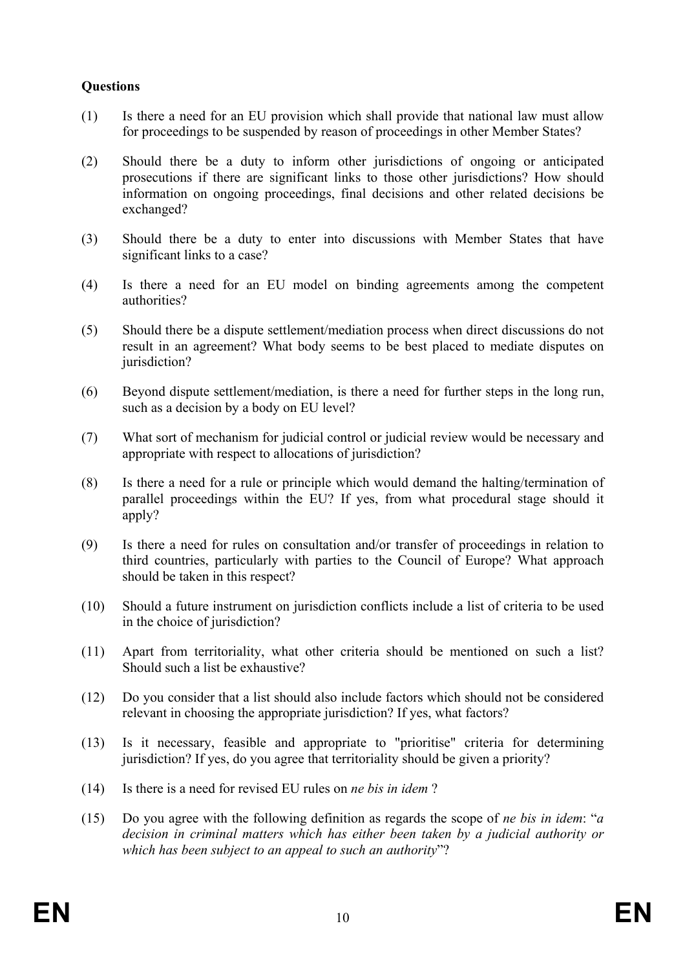# **Questions**

- (1) Is there a need for an EU provision which shall provide that national law must allow for proceedings to be suspended by reason of proceedings in other Member States?
- (2) Should there be a duty to inform other jurisdictions of ongoing or anticipated prosecutions if there are significant links to those other jurisdictions? How should information on ongoing proceedings, final decisions and other related decisions be exchanged?
- (3) Should there be a duty to enter into discussions with Member States that have significant links to a case?
- (4) Is there a need for an EU model on binding agreements among the competent authorities?
- (5) Should there be a dispute settlement/mediation process when direct discussions do not result in an agreement? What body seems to be best placed to mediate disputes on jurisdiction?
- (6) Beyond dispute settlement/mediation, is there a need for further steps in the long run, such as a decision by a body on EU level?
- (7) What sort of mechanism for judicial control or judicial review would be necessary and appropriate with respect to allocations of jurisdiction?
- (8) Is there a need for a rule or principle which would demand the halting/termination of parallel proceedings within the EU? If yes, from what procedural stage should it apply?
- (9) Is there a need for rules on consultation and/or transfer of proceedings in relation to third countries, particularly with parties to the Council of Europe? What approach should be taken in this respect?
- (10) Should a future instrument on jurisdiction conflicts include a list of criteria to be used in the choice of jurisdiction?
- (11) Apart from territoriality, what other criteria should be mentioned on such a list? Should such a list be exhaustive?
- (12) Do you consider that a list should also include factors which should not be considered relevant in choosing the appropriate jurisdiction? If yes, what factors?
- (13) Is it necessary, feasible and appropriate to "prioritise" criteria for determining jurisdiction? If yes, do you agree that territoriality should be given a priority?
- (14) Is there is a need for revised EU rules on *ne bis in idem* ?
- (15) Do you agree with the following definition as regards the scope of *ne bis in idem*: "*a decision in criminal matters which has either been taken by a judicial authority or which has been subject to an appeal to such an authority*"?